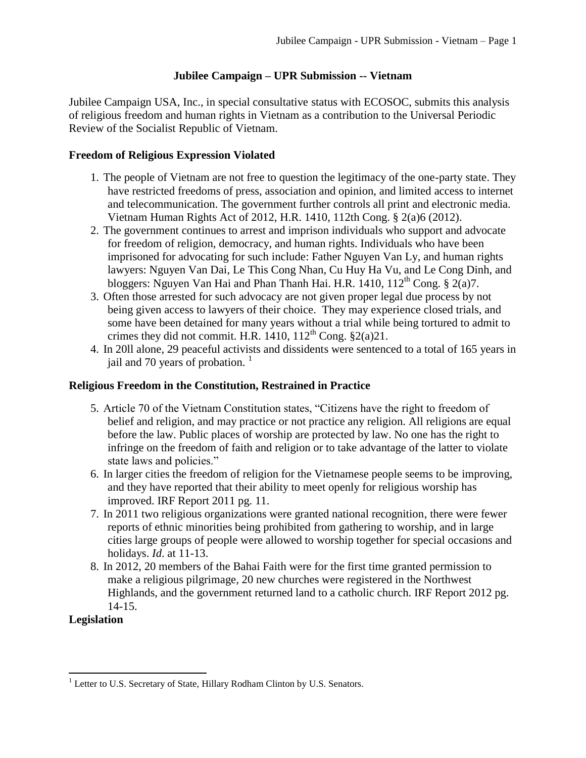# **Jubilee Campaign – UPR Submission -- Vietnam**

Jubilee Campaign USA, Inc., in special consultative status with ECOSOC, submits this analysis of religious freedom and human rights in Vietnam as a contribution to the Universal Periodic Review of the Socialist Republic of Vietnam.

## **Freedom of Religious Expression Violated**

- 1. The people of Vietnam are not free to question the legitimacy of the one-party state. They have restricted freedoms of press, association and opinion, and limited access to internet and telecommunication. The government further controls all print and electronic media. Vietnam Human Rights Act of 2012, H.R. 1410, 112th Cong. § 2(a)6 (2012).
- 2. The government continues to arrest and imprison individuals who support and advocate for freedom of religion, democracy, and human rights. Individuals who have been imprisoned for advocating for such include: Father Nguyen Van Ly, and human rights lawyers: Nguyen Van Dai, Le This Cong Nhan, Cu Huy Ha Vu, and Le Cong Dinh, and bloggers: Nguyen Van Hai and Phan Thanh Hai. H.R. 1410,  $112^{th}$  Cong. § 2(a)7.
- 3. Often those arrested for such advocacy are not given proper legal due process by not being given access to lawyers of their choice. They may experience closed trials, and some have been detained for many years without a trial while being tortured to admit to crimes they did not commit. H.R. 1410,  $112^{th}$  Cong.  $\S 2(a)21$ .
- 4. In 20ll alone, 29 peaceful activists and dissidents were sentenced to a total of 165 years in jail and 70 years of probation.  $\frac{1}{1}$

## **Religious Freedom in the Constitution, Restrained in Practice**

- 5. Article 70 of the Vietnam Constitution states, "Citizens have the right to freedom of belief and religion, and may practice or not practice any religion. All religions are equal before the law. Public places of worship are protected by law. No one has the right to infringe on the freedom of faith and religion or to take advantage of the latter to violate state laws and policies."
- 6. In larger cities the freedom of religion for the Vietnamese people seems to be improving, and they have reported that their ability to meet openly for religious worship has improved. IRF Report 2011 pg. 11.
- 7. In 2011 two religious organizations were granted national recognition, there were fewer reports of ethnic minorities being prohibited from gathering to worship, and in large cities large groups of people were allowed to worship together for special occasions and holidays. *Id*. at 11-13.
- 8. In 2012, 20 members of the Bahai Faith were for the first time granted permission to make a religious pilgrimage, 20 new churches were registered in the Northwest Highlands, and the government returned land to a catholic church. IRF Report 2012 pg. 14-15.

## **Legislation**

 $\overline{\phantom{a}}$ <sup>1</sup> Letter to U.S. Secretary of State, Hillary Rodham Clinton by U.S. Senators.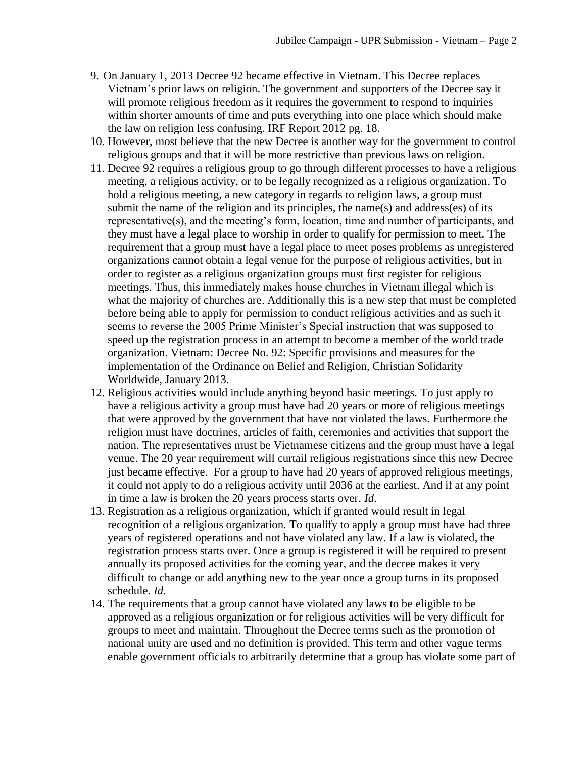- 9. On January 1, 2013 Decree 92 became effective in Vietnam. This Decree replaces Vietnam's prior laws on religion. The government and supporters of the Decree say it will promote religious freedom as it requires the government to respond to inquiries within shorter amounts of time and puts everything into one place which should make the law on religion less confusing. IRF Report 2012 pg. 18.
- 10. However, most believe that the new Decree is another way for the government to control religious groups and that it will be more restrictive than previous laws on religion.
- 11. Decree 92 requires a religious group to go through different processes to have a religious meeting, a religious activity, or to be legally recognized as a religious organization. To hold a religious meeting, a new category in regards to religion laws, a group must submit the name of the religion and its principles, the name(s) and address(es) of its representative(s), and the meeting's form, location, time and number of participants, and they must have a legal place to worship in order to qualify for permission to meet. The requirement that a group must have a legal place to meet poses problems as unregistered organizations cannot obtain a legal venue for the purpose of religious activities, but in order to register as a religious organization groups must first register for religious meetings. Thus, this immediately makes house churches in Vietnam illegal which is what the majority of churches are. Additionally this is a new step that must be completed before being able to apply for permission to conduct religious activities and as such it seems to reverse the 2005 Prime Minister's Special instruction that was supposed to speed up the registration process in an attempt to become a member of the world trade organization. Vietnam: Decree No. 92: Specific provisions and measures for the implementation of the Ordinance on Belief and Religion, Christian Solidarity Worldwide, January 2013.
- 12. Religious activities would include anything beyond basic meetings. To just apply to have a religious activity a group must have had 20 years or more of religious meetings that were approved by the government that have not violated the laws. Furthermore the religion must have doctrines, articles of faith, ceremonies and activities that support the nation. The representatives must be Vietnamese citizens and the group must have a legal venue. The 20 year requirement will curtail religious registrations since this new Decree just became effective. For a group to have had 20 years of approved religious meetings, it could not apply to do a religious activity until 2036 at the earliest. And if at any point in time a law is broken the 20 years process starts over. *Id*.
- 13. Registration as a religious organization, which if granted would result in legal recognition of a religious organization. To qualify to apply a group must have had three years of registered operations and not have violated any law. If a law is violated, the registration process starts over. Once a group is registered it will be required to present annually its proposed activities for the coming year, and the decree makes it very difficult to change or add anything new to the year once a group turns in its proposed schedule. *Id*.
- 14. The requirements that a group cannot have violated any laws to be eligible to be approved as a religious organization or for religious activities will be very difficult for groups to meet and maintain. Throughout the Decree terms such as the promotion of national unity are used and no definition is provided. This term and other vague terms enable government officials to arbitrarily determine that a group has violate some part of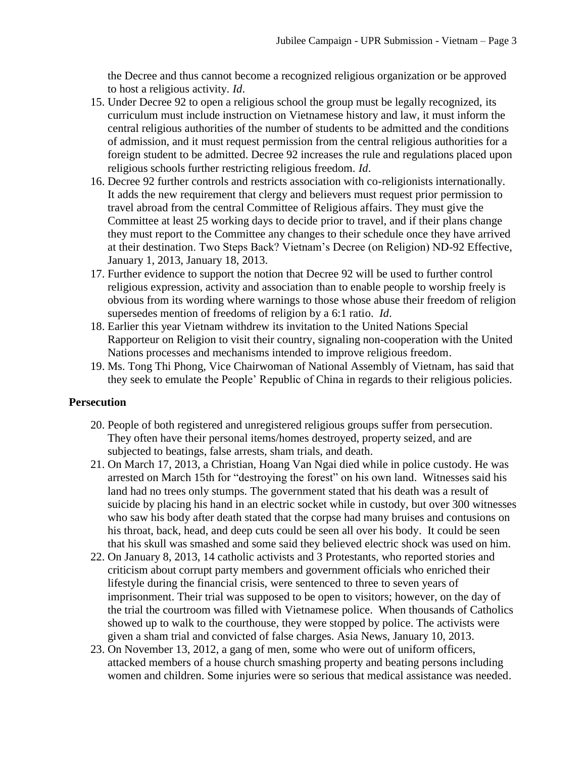the Decree and thus cannot become a recognized religious organization or be approved to host a religious activity. *Id*.

- 15. Under Decree 92 to open a religious school the group must be legally recognized, its curriculum must include instruction on Vietnamese history and law, it must inform the central religious authorities of the number of students to be admitted and the conditions of admission, and it must request permission from the central religious authorities for a foreign student to be admitted. Decree 92 increases the rule and regulations placed upon religious schools further restricting religious freedom. *Id*.
- 16. Decree 92 further controls and restricts association with co-religionists internationally. It adds the new requirement that clergy and believers must request prior permission to travel abroad from the central Committee of Religious affairs. They must give the Committee at least 25 working days to decide prior to travel, and if their plans change they must report to the Committee any changes to their schedule once they have arrived at their destination. Two Steps Back? Vietnam's Decree (on Religion) ND-92 Effective, January 1, 2013, January 18, 2013.
- 17. Further evidence to support the notion that Decree 92 will be used to further control religious expression, activity and association than to enable people to worship freely is obvious from its wording where warnings to those whose abuse their freedom of religion supersedes mention of freedoms of religion by a 6:1 ratio. *Id*.
- 18. Earlier this year Vietnam withdrew its invitation to the United Nations Special Rapporteur on Religion to visit their country, signaling non-cooperation with the United Nations processes and mechanisms intended to improve religious freedom.
- 19. Ms. Tong Thi Phong, Vice Chairwoman of National Assembly of Vietnam, has said that they seek to emulate the People' Republic of China in regards to their religious policies.

### **Persecution**

- 20. People of both registered and unregistered religious groups suffer from persecution. They often have their personal items/homes destroyed, property seized, and are subjected to beatings, false arrests, sham trials, and death.
- 21. On March 17, 2013, a Christian, Hoang Van Ngai died while in police custody. He was arrested on March 15th for "destroying the forest" on his own land. Witnesses said his land had no trees only stumps. The government stated that his death was a result of suicide by placing his hand in an electric socket while in custody, but over 300 witnesses who saw his body after death stated that the corpse had many bruises and contusions on his throat, back, head, and deep cuts could be seen all over his body. It could be seen that his skull was smashed and some said they believed electric shock was used on him.
- 22. On January 8, 2013, 14 catholic activists and 3 Protestants, who reported stories and criticism about corrupt party members and government officials who enriched their lifestyle during the financial crisis, were sentenced to three to seven years of imprisonment. Their trial was supposed to be open to visitors; however, on the day of the trial the courtroom was filled with Vietnamese police. When thousands of Catholics showed up to walk to the courthouse, they were stopped by police. The activists were given a sham trial and convicted of false charges. Asia News, January 10, 2013.
- 23. On November 13, 2012, a gang of men, some who were out of uniform officers, attacked members of a house church smashing property and beating persons including women and children. Some injuries were so serious that medical assistance was needed.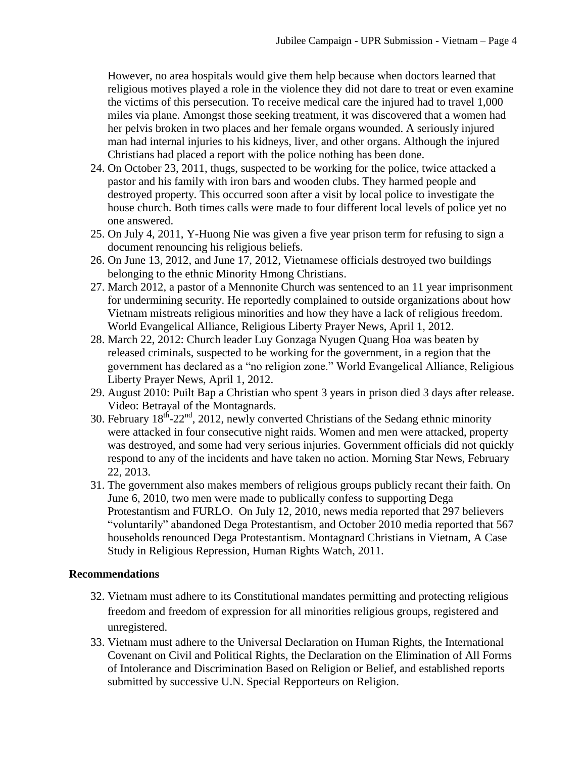However, no area hospitals would give them help because when doctors learned that religious motives played a role in the violence they did not dare to treat or even examine the victims of this persecution. To receive medical care the injured had to travel 1,000 miles via plane. Amongst those seeking treatment, it was discovered that a women had her pelvis broken in two places and her female organs wounded. A seriously injured man had internal injuries to his kidneys, liver, and other organs. Although the injured Christians had placed a report with the police nothing has been done.

- 24. On October 23, 2011, thugs, suspected to be working for the police, twice attacked a pastor and his family with iron bars and wooden clubs. They harmed people and destroyed property. This occurred soon after a visit by local police to investigate the house church. Both times calls were made to four different local levels of police yet no one answered.
- 25. On July 4, 2011, Y-Huong Nie was given a five year prison term for refusing to sign a document renouncing his religious beliefs.
- 26. On June 13, 2012, and June 17, 2012, Vietnamese officials destroyed two buildings belonging to the ethnic Minority Hmong Christians.
- 27. March 2012, a pastor of a Mennonite Church was sentenced to an 11 year imprisonment for undermining security. He reportedly complained to outside organizations about how Vietnam mistreats religious minorities and how they have a lack of religious freedom. World Evangelical Alliance, Religious Liberty Prayer News, April 1, 2012.
- 28. March 22, 2012: Church leader Luy Gonzaga Nyugen Quang Hoa was beaten by released criminals, suspected to be working for the government, in a region that the government has declared as a "no religion zone." World Evangelical Alliance, Religious Liberty Prayer News, April 1, 2012.
- 29. August 2010: Puilt Bap a Christian who spent 3 years in prison died 3 days after release. Video: Betrayal of the Montagnards.
- 30. February  $18^{\text{th}}$ -22<sup>nd</sup>, 2012, newly converted Christians of the Sedang ethnic minority were attacked in four consecutive night raids. Women and men were attacked, property was destroyed, and some had very serious injuries. Government officials did not quickly respond to any of the incidents and have taken no action. Morning Star News, February 22, 2013.
- 31. The government also makes members of religious groups publicly recant their faith. On June 6, 2010, two men were made to publically confess to supporting Dega Protestantism and FURLO. On July 12, 2010, news media reported that 297 believers "voluntarily" abandoned Dega Protestantism, and October 2010 media reported that 567 households renounced Dega Protestantism. Montagnard Christians in Vietnam, A Case Study in Religious Repression, Human Rights Watch, 2011.

### **Recommendations**

- 32. Vietnam must adhere to its Constitutional mandates permitting and protecting religious freedom and freedom of expression for all minorities religious groups, registered and unregistered.
- 33. Vietnam must adhere to the Universal Declaration on Human Rights, the International Covenant on Civil and Political Rights, the Declaration on the Elimination of All Forms of Intolerance and Discrimination Based on Religion or Belief, and established reports submitted by successive U.N. Special Repporteurs on Religion.